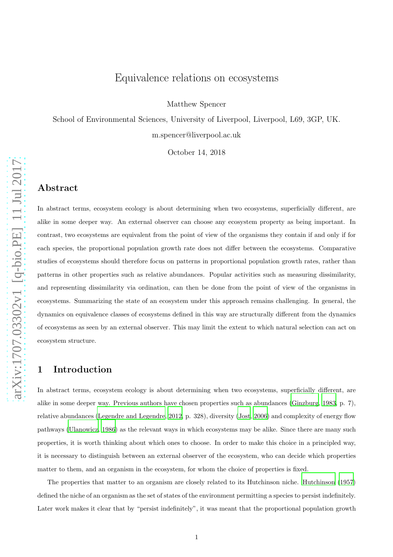# Equivalence relations on ecosystems

Matthew Spencer

School of Environmental Sciences, University of Liverpool, Liverpool, L69, 3GP, UK. m.spencer@liverpool.ac.uk

October 14, 2018

#### Abstract

In abstract terms, ecosystem ecology is about determining when two ecosystems, superficially different, are alike in some deeper way. An external observer can choose any ecosystem property as being important. In contrast, two ecosystems are equivalent from the point of view of the organisms they contain if and only if for each species, the proportional population growth rate does not differ between the ecosystems. Comparative studies of ecosystems should therefore focus on patterns in proportional population growth rates, rather than patterns in other properties such as relative abundances. Popular activities such as measuring dissimilarity, and representing dissimilarity via ordination, can then be done from the point of view of the organisms in ecosystems. Summarizing the state of an ecosystem under this approach remains challenging. In general, the dynamics on equivalence classes of ecosystems defined in this way are structurally different from the dynamics of ecosystems as seen by an external observer. This may limit the extent to which natural selection can act on ecosystem structure.

#### 1 Introduction

In abstract terms, ecosystem ecology is about determining when two ecosystems, superficially different, are alike in some deeper way. Previous authors have chosen properties such as abundances [\(Ginzburg](#page-11-0), [1983](#page-11-0), p. 7), relative abundances [\(Legendre and Legendre, 2012](#page-11-1), p. 328), diversity [\(Jost](#page-11-2), [2006\)](#page-11-2) and complexity of energy flow pathways [\(Ulanowicz, 1986\)](#page-12-0) as the relevant ways in which ecosystems may be alike. Since there are many such properties, it is worth thinking about which ones to choose. In order to make this choice in a principled way, it is necessary to distinguish between an external observer of the ecosystem, who can decide which properties matter to them, and an organism in the ecosystem, for whom the choice of properties is fixed.

The properties that matter to an organism are closely related to its Hutchinson niche. [Hutchinson \(1957\)](#page-11-3) defined the niche of an organism as the set of states of the environment permitting a species to persist indefinitely. Later work makes it clear that by "persist indefinitely", it was meant that the proportional population growth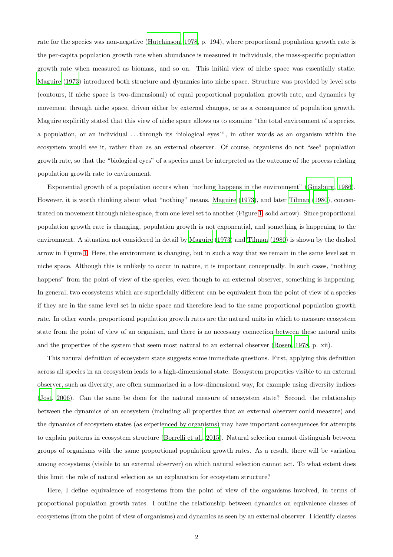rate for the species was non-negative [\(Hutchinson, 1978,](#page-11-4) p. 194), where proportional population growth rate is the per-capita population growth rate when abundance is measured in individuals, the mass-specific population growth rate when measured as biomass, and so on. This initial view of niche space was essentially static. [Maguire \(1973\)](#page-12-1) introduced both structure and dynamics into niche space. Structure was provided by level sets (contours, if niche space is two-dimensional) of equal proportional population growth rate, and dynamics by movement through niche space, driven either by external changes, or as a consequence of population growth. Maguire explicitly stated that this view of niche space allows us to examine "the total environment of a species, a population, or an individual . . . through its 'biological eyes' ", in other words as an organism within the ecosystem would see it, rather than as an external observer. Of course, organisms do not "see" population growth rate, so that the "biological eyes" of a species must be interpreted as the outcome of the process relating population growth rate to environment.

Exponential growth of a population occurs when "nothing happens in the environment" [\(Ginzburg, 1986\)](#page-11-5). However, it is worth thinking about what "nothing" means. [Maguire \(1973\)](#page-12-1), and later [Tilman \(1980\)](#page-12-2), concentrated on movement through niche space, from one level set to another (Figure [1,](#page-14-0) solid arrow). Since proportional population growth rate is changing, population growth is not exponential, and something is happening to the environment. A situation not considered in detail by [Maguire \(1973\)](#page-12-1) and [Tilman \(1980\)](#page-12-2) is shown by the dashed arrow in Figure [1.](#page-14-0) Here, the environment is changing, but in such a way that we remain in the same level set in niche space. Although this is unlikely to occur in nature, it is important conceptually. In such cases, "nothing happens" from the point of view of the species, even though to an external observer, something is happening. In general, two ecosystems which are superficially different can be equivalent from the point of view of a species if they are in the same level set in niche space and therefore lead to the same proportional population growth rate. In other words, proportional population growth rates are the natural units in which to measure ecosystem state from the point of view of an organism, and there is no necessary connection between these natural units and the properties of the system that seem most natural to an external observer [\(Rosen, 1978,](#page-12-3) p. xii).

This natural definition of ecosystem state suggests some immediate questions. First, applying this definition across all species in an ecosystem leads to a high-dimensional state. Ecosystem properties visible to an external observer, such as diversity, are often summarized in a low-dimensional way, for example using diversity indices [\(Jost](#page-11-2), [2006\)](#page-11-2). Can the same be done for the natural measure of ecosystem state? Second, the relationship between the dynamics of an ecosystem (including all properties that an external observer could measure) and the dynamics of ecosystem states (as experienced by organisms) may have important consequences for attempts to explain patterns in ecosystem structure [\(Borrelli et al., 2015\)](#page-11-6). Natural selection cannot distinguish between groups of organisms with the same proportional population growth rates. As a result, there will be variation among ecosystems (visible to an external observer) on which natural selection cannot act. To what extent does this limit the role of natural selection as an explanation for ecosystem structure?

Here, I define equivalence of ecosystems from the point of view of the organisms involved, in terms of proportional population growth rates. I outline the relationship between dynamics on equivalence classes of ecosystems (from the point of view of organisms) and dynamics as seen by an external observer. I identify classes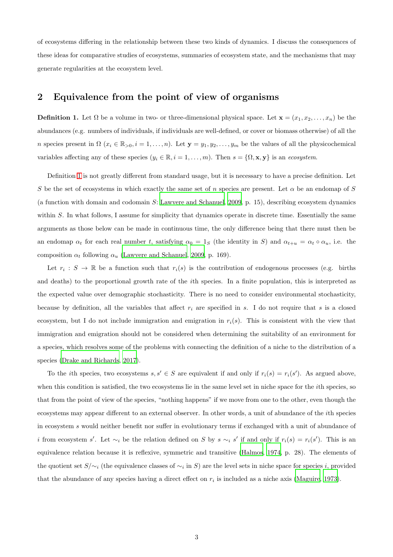of ecosystems differing in the relationship between these two kinds of dynamics. I discuss the consequences of these ideas for comparative studies of ecosystems, summaries of ecosystem state, and the mechanisms that may generate regularities at the ecosystem level.

### 2 Equivalence from the point of view of organisms

<span id="page-2-0"></span>**Definition 1.** Let  $\Omega$  be a volume in two- or three-dimensional physical space. Let  $\mathbf{x} = (x_1, x_2, \dots, x_n)$  be the abundances (e.g. numbers of individuals, if individuals are well-defined, or cover or biomass otherwise) of all the n species present in  $\Omega$  ( $x_i \in \mathbb{R}_{>0}, i = 1, \ldots, n$ ). Let  $\mathbf{y} = y_1, y_2, \ldots, y_m$  be the values of all the physicochemical variables affecting any of these species  $(y_i \in \mathbb{R}, i = 1, \ldots, m)$ . Then  $s = \{ \Omega, \mathbf{x}, \mathbf{y} \}$  is an *ecosystem*.

Definition [1](#page-2-0) is not greatly different from standard usage, but it is necessary to have a precise definition. Let S be the set of ecosystems in which exactly the same set of n species are present. Let  $\alpha$  be an endomap of S (a function with domain and codomain S: [Lawvere and Schanuel, 2009,](#page-11-7) p. 15), describing ecosystem dynamics within S. In what follows, I assume for simplicity that dynamics operate in discrete time. Essentially the same arguments as those below can be made in continuous time, the only difference being that there must then be an endomap  $\alpha_t$  for each real number t, satisfying  $\alpha_0 = 1_S$  (the identity in S) and  $\alpha_{t+u} = \alpha_t \circ \alpha_u$ , i.e. the composition  $\alpha_t$  following  $\alpha_u$  [\(Lawvere and Schanuel](#page-11-7), [2009](#page-11-7), p. 169).

Let  $r_i : S \to \mathbb{R}$  be a function such that  $r_i(s)$  is the contribution of endogenous processes (e.g. births and deaths) to the proportional growth rate of the ith species. In a finite population, this is interpreted as the expected value over demographic stochasticity. There is no need to consider environmental stochasticity, because by definition, all the variables that affect  $r_i$  are specified in s. I do not require that s is a closed ecosystem, but I do not include immigration and emigration in  $r_i(s)$ . This is consistent with the view that immigration and emigration should not be considered when determining the suitability of an environment for a species, which resolves some of the problems with connecting the definition of a niche to the distribution of a species [\(Drake and Richards](#page-11-8), [2017\)](#page-11-8).

To the *i*th species, two ecosystems  $s, s' \in S$  are equivalent if and only if  $r_i(s) = r_i(s')$ . As argued above, when this condition is satisfied, the two ecosystems lie in the same level set in niche space for the *i*th species, so that from the point of view of the species, "nothing happens" if we move from one to the other, even though the ecosystems may appear different to an external observer. In other words, a unit of abundance of the ith species in ecosystem s would neither benefit nor suffer in evolutionary terms if exchanged with a unit of abundance of *i* from ecosystem s'. Let  $\sim_i$  be the relation defined on S by s  $\sim_i s'$  if and only if  $r_i(s) = r_i(s')$ . This is an equivalence relation because it is reflexive, symmetric and transitive [\(Halmos](#page-11-9), [1974,](#page-11-9) p. 28). The elements of the quotient set  $S/\sim_i$  (the equivalence classes of  $\sim_i$  in S) are the level sets in niche space for species i, provided that the abundance of any species having a direct effect on  $r_i$  is included as a niche axis [\(Maguire](#page-12-1), [1973\)](#page-12-1).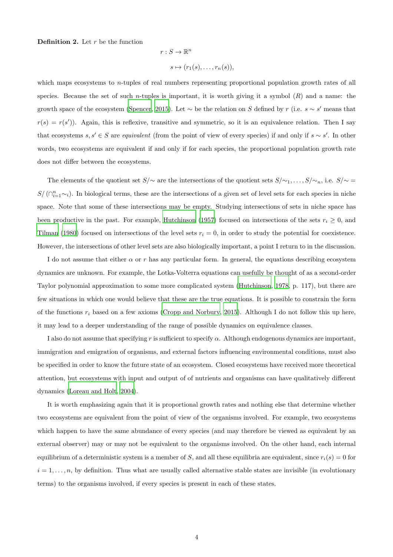**Definition 2.** Let  $r$  be the function

$$
r: S \to \mathbb{R}^n
$$

$$
s \mapsto (r_1(s), \dots, r_n(s)),
$$

which maps ecosystems to *n*-tuples of real numbers representing proportional population growth rates of all species. Because the set of such *n*-tuples is important, it is worth giving it a symbol  $(R)$  and a name: the growth space of the ecosystem [\(Spencer](#page-12-4), [2015\)](#page-12-4). Let  $\sim$  be the relation on S defined by r (i.e. s  $\sim$  s' means that  $r(s) = r(s')$ ). Again, this is reflexive, transitive and symmetric, so it is an equivalence relation. Then I say that ecosystems  $s, s' \in S$  are *equivalent* (from the point of view of every species) if and only if  $s \sim s'$ . In other words, two ecosystems are equivalent if and only if for each species, the proportional population growth rate does not differ between the ecosystems.

The elements of the quotient set  $S/\sim$  are the intersections of the quotient sets  $S/\sim_1, \ldots, S/\sim_n$ , i.e.  $S/\sim$  $S/(\bigcap_{i=1}^n\sim_i)$ . In biological terms, these are the intersections of a given set of level sets for each species in niche space. Note that some of these intersections may be empty. Studying intersections of sets in niche space has been productive in the past. For example, [Hutchinson \(1957\)](#page-11-3) focused on intersections of the sets  $r_i \geq 0$ , and [Tilman \(1980\)](#page-12-2) focused on intersections of the level sets  $r_i = 0$ , in order to study the potential for coexistence. However, the intersections of other level sets are also biologically important, a point I return to in the discussion.

I do not assume that either  $\alpha$  or r has any particular form. In general, the equations describing ecosystem dynamics are unknown. For example, the Lotka-Volterra equations can usefully be thought of as a second-order Taylor polynomial approximation to some more complicated system [\(Hutchinson, 1978,](#page-11-4) p. 117), but there are few situations in which one would believe that these are the true equations. It is possible to constrain the form of the functions  $r_i$  based on a few axioms [\(Cropp and Norbury, 2015](#page-11-10)). Although I do not follow this up here, it may lead to a deeper understanding of the range of possible dynamics on equivalence classes.

I also do not assume that specifying r is sufficient to specify  $\alpha$ . Although endogenous dynamics are important, immigration and emigration of organisms, and external factors influencing environmental conditions, must also be specified in order to know the future state of an ecosystem. Closed ecosystems have received more theoretical attention, but ecosystems with input and output of of nutrients and organisms can have qualitatively different dynamics [\(Loreau and Holt](#page-12-5), [2004\)](#page-12-5).

It is worth emphasizing again that it is proportional growth rates and nothing else that determine whether two ecosystems are equivalent from the point of view of the organisms involved. For example, two ecosystems which happen to have the same abundance of every species (and may therefore be viewed as equivalent by an external observer) may or may not be equivalent to the organisms involved. On the other hand, each internal equilibrium of a deterministic system is a member of S, and all these equilibria are equivalent, since  $r_i(s) = 0$  for  $i = 1, \ldots, n$ , by definition. Thus what are usually called alternative stable states are invisible (in evolutionary terms) to the organisms involved, if every species is present in each of these states.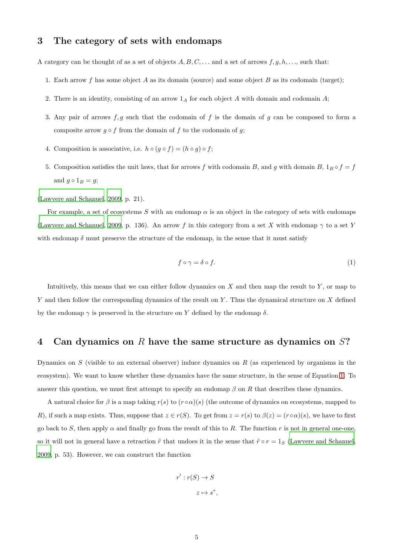## 3 The category of sets with endomaps

A category can be thought of as a set of objects  $A, B, C, \ldots$  and a set of arrows  $f, g, h, \ldots$ , such that:

- 1. Each arrow f has some object A as its domain (source) and some object B as its codomain (target);
- 2. There is an identity, consisting of an arrow  $1_A$  for each object A with domain and codomain A;
- 3. Any pair of arrows  $f, g$  such that the codomain of f is the domain of g can be composed to form a composite arrow  $g \circ f$  from the domain of f to the codomain of g;
- 4. Composition is associative, i.e.  $h \circ (g \circ f) = (h \circ g) \circ f;$
- 5. Composition satisfies the unit laws, that for arrows f with codomain B, and g with domain B,  $1_B \circ f = f$ and  $g \circ 1_B = g;$

[\(Lawvere and Schanuel](#page-11-7), [2009,](#page-11-7) p. 21).

For example, a set of ecosystems S with an endomap  $\alpha$  is an object in the category of sets with endomaps [\(Lawvere and Schanuel](#page-11-7), [2009,](#page-11-7) p. 136). An arrow f in this category from a set X with endomap  $\gamma$  to a set Y with endomap  $\delta$  must preserve the structure of the endomap, in the sense that it must satisfy

<span id="page-4-0"></span>
$$
f \circ \gamma = \delta \circ f. \tag{1}
$$

Intuitively, this means that we can either follow dynamics on  $X$  and then map the result to  $Y$ , or map to Y and then follow the corresponding dynamics of the result on Y. Thus the dynamical structure on X defined by the endomap  $\gamma$  is preserved in the structure on Y defined by the endomap  $\delta$ .

#### 4 Can dynamics on R have the same structure as dynamics on S?

Dynamics on  $S$  (visible to an external observer) induce dynamics on  $R$  (as experienced by organisms in the ecosystem). We want to know whether these dynamics have the same structure, in the sense of Equation [1.](#page-4-0) To answer this question, we must first attempt to specify an endomap  $\beta$  on R that describes these dynamics.

A natural choice for  $\beta$  is a map taking  $r(s)$  to  $(r \circ \alpha)(s)$  (the outcome of dynamics on ecosystems, mapped to R), if such a map exists. Thus, suppose that  $z \in r(S)$ . To get from  $z = r(s)$  to  $\beta(z) = (r \circ \alpha)(s)$ , we have to first go back to S, then apply  $\alpha$  and finally go from the result of this to R. The function r is not in general one-one. so it will not in general have a retraction  $\tilde{r}$  that undoes it in the sense that  $\tilde{r} \circ r = 1_S$  [\(Lawvere and Schanuel,](#page-11-7) [2009,](#page-11-7) p. 53). However, we can construct the function

$$
r': r(S) \to S
$$

$$
z \mapsto s^*,
$$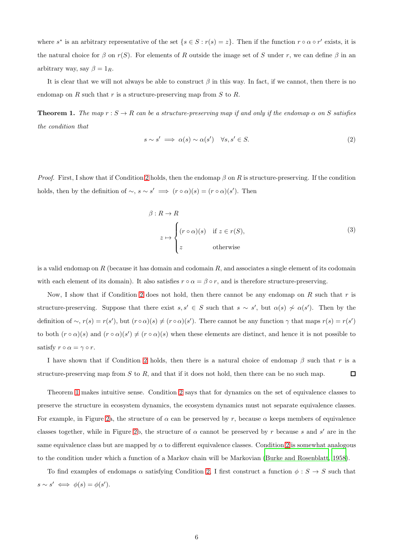where  $s^*$  is an arbitrary representative of the set  $\{s \in S : r(s) = z\}$ . Then if the function  $r \circ \alpha \circ r'$  exists, it is the natural choice for  $\beta$  on  $r(S)$ . For elements of R outside the image set of S under r, we can define  $\beta$  in an arbitrary way, say  $\beta = 1_R$ .

It is clear that we will not always be able to construct  $\beta$  in this way. In fact, if we cannot, then there is no endomap on R such that r is a structure-preserving map from  $S$  to  $R$ .

<span id="page-5-0"></span>**Theorem 1.** The map  $r : S \to R$  can be a structure-preserving map if and only if the endomap  $\alpha$  on S satisfies *the condition that*

$$
s \sim s' \implies \alpha(s) \sim \alpha(s') \quad \forall s, s' \in S. \tag{2}
$$

*Proof.* First, I show that if Condition [2](#page-5-0) holds, then the endomap  $\beta$  on R is structure-preserving. If the condition holds, then by the definition of  $\sim$ ,  $s \sim s' \implies (r \circ \alpha)(s) = (r \circ \alpha)(s')$ . Then

$$
\beta: R \to R
$$
  
\n
$$
z \mapsto \begin{cases}\n(r \circ \alpha)(s) & \text{if } z \in r(S), \\
z & \text{otherwise}\n\end{cases}
$$
\n(3)

is a valid endomap on  $R$  (because it has domain and codomain  $R$ , and associates a single element of its codomain with each element of its domain). It also satisfies  $r \circ \alpha = \beta \circ r$ , and is therefore structure-preserving.

Now, I show that if Condition [2](#page-5-0) does not hold, then there cannot be any endomap on R such that r is structure-preserving. Suppose that there exist  $s, s' \in S$  such that  $s \sim s'$ , but  $\alpha(s) \nsim \alpha(s')$ . Then by the definition of  $\sim$ ,  $r(s) = r(s')$ , but  $(r \circ \alpha)(s) \neq (r \circ \alpha)(s')$ . There cannot be any function  $\gamma$  that maps  $r(s) = r(s')$ to both  $(r \circ \alpha)(s)$  and  $(r \circ \alpha)(s') \neq (r \circ \alpha)(s)$  when these elements are distinct, and hence it is not possible to satisfy  $r \circ \alpha = \gamma \circ r$ .

I have shown that if Condition [2](#page-5-0) holds, then there is a natural choice of endomap  $\beta$  such that r is a structure-preserving map from  $S$  to  $R$ , and that if it does not hold, then there can be no such map.  $\Box$ 

Theorem [1](#page-5-0) makes intuitive sense. Condition [2](#page-5-0) says that for dynamics on the set of equivalence classes to preserve the structure in ecosystem dynamics, the ecosystem dynamics must not separate equivalence classes. For example, in Figure [2a](#page-15-0), the structure of  $\alpha$  can be preserved by r, because  $\alpha$  keeps members of equivalence classes together, while in Figure [2b](#page-15-0), the structure of  $\alpha$  cannot be preserved by r because s and s' are in the same equivalence class but are mapped by  $\alpha$  to different equivalence classes. Condition [2](#page-5-0) is somewhat analogous to the condition under which a function of a Markov chain will be Markovian [\(Burke and Rosenblatt, 1958\)](#page-11-11).

To find examples of endomaps  $\alpha$  satisfying Condition [2,](#page-5-0) I first construct a function  $\phi : S \to S$  such that  $s \sim s' \iff \phi(s) = \phi(s')$ .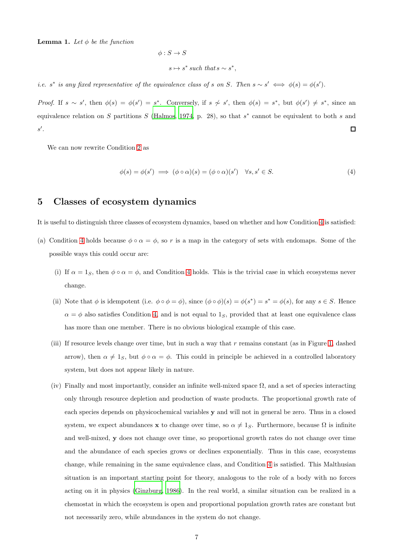**Lemma 1.** Let  $\phi$  be the function

$$
\phi: S \to S
$$
  

$$
s \mapsto s^* \text{ such that } s \sim s^*,
$$

*i.e.* s<sup>\*</sup> is any fixed representative of the equivalence class of s on S. Then  $s \sim s' \iff \phi(s) = \phi(s')$ .

*Proof.* If  $s \sim s'$ , then  $\phi(s) = \phi(s') = s^*$ . Conversely, if  $s \nsim s'$ , then  $\phi(s) = s^*$ , but  $\phi(s') \neq s^*$ , since an equivalence relation on S partitions S [\(Halmos, 1974,](#page-11-9) p. 28), so that  $s^*$  cannot be equivalent to both s and  $s'$ .  $\Box$ 

We can now rewrite Condition [2](#page-5-0) as

<span id="page-6-0"></span>
$$
\phi(s) = \phi(s') \implies (\phi \circ \alpha)(s) = (\phi \circ \alpha)(s') \quad \forall s, s' \in S. \tag{4}
$$

### 5 Classes of ecosystem dynamics

It is useful to distinguish three classes of ecosystem dynamics, based on whether and how Condition [4](#page-6-0) is satisfied:

- (a) Condition [4](#page-6-0) holds because  $\phi \circ \alpha = \phi$ , so r is a map in the category of sets with endomaps. Some of the possible ways this could occur are:
	- (i) If  $\alpha = 1_S$ , then  $\phi \circ \alpha = \phi$ , and Condition [4](#page-6-0) holds. This is the trivial case in which ecosystems never change.
	- (ii) Note that  $\phi$  is idempotent (i.e.  $\phi \circ \phi = \phi$ ), since  $(\phi \circ \phi)(s) = \phi(s^*) = s^* = \phi(s)$ , for any  $s \in S$ . Hence  $\alpha = \phi$  also satisfies Condition [4,](#page-6-0) and is not equal to 1<sub>S</sub>, provided that at least one equivalence class has more than one member. There is no obvious biological example of this case.
	- (iii) If resource levels change over time, but in such a way that  $r$  remains constant (as in Figure [1,](#page-14-0) dashed arrow), then  $\alpha \neq 1_S$ , but  $\phi \circ \alpha = \phi$ . This could in principle be achieved in a controlled laboratory system, but does not appear likely in nature.
	- (iv) Finally and most importantly, consider an infinite well-mixed space  $\Omega$ , and a set of species interacting only through resource depletion and production of waste products. The proportional growth rate of each species depends on physicochemical variables y and will not in general be zero. Thus in a closed system, we expect abundances x to change over time, so  $\alpha \neq 1_S$ . Furthermore, because  $\Omega$  is infinite and well-mixed, y does not change over time, so proportional growth rates do not change over time and the abundance of each species grows or declines exponentially. Thus in this case, ecosystems change, while remaining in the same equivalence class, and Condition [4](#page-6-0) is satisfied. This Malthusian situation is an important starting point for theory, analogous to the role of a body with no forces acting on it in physics [\(Ginzburg](#page-11-5), [1986\)](#page-11-5). In the real world, a similar situation can be realized in a chemostat in which the ecosystem is open and proportional population growth rates are constant but not necessarily zero, while abundances in the system do not change.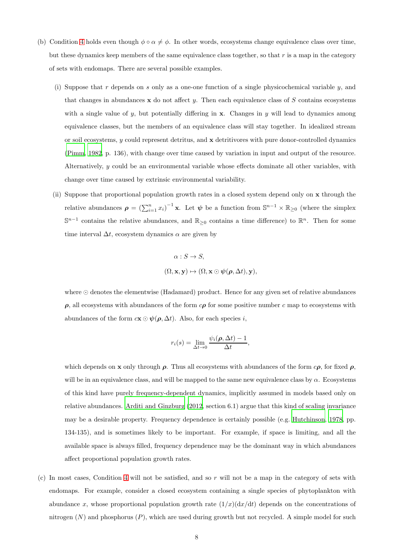- (b) Condition [4](#page-6-0) holds even though  $\phi \circ \alpha \neq \phi$ . In other words, ecosystems change equivalence class over time, but these dynamics keep members of the same equivalence class together, so that  $r$  is a map in the category of sets with endomaps. There are several possible examples.
	- (i) Suppose that r depends on s only as a one-one function of a single physicochemical variable  $y$ , and that changes in abundances  $x$  do not affect y. Then each equivalence class of S contains ecosystems with a single value of y, but potentially differing in  $x$ . Changes in y will lead to dynamics among equivalence classes, but the members of an equivalence class will stay together. In idealized stream or soil ecosystems,  $y$  could represent detritus, and  $x$  detritivores with pure donor-controlled dynamics [\(Pimm, 1982,](#page-12-6) p. 136), with change over time caused by variation in input and output of the resource. Alternatively, y could be an environmental variable whose effects dominate all other variables, with change over time caused by extrinsic environmental variability.
	- (ii) Suppose that proportional population growth rates in a closed system depend only on x through the relative abundances  $\rho = \left(\sum_{i=1}^n x_i\right)^{-1} \mathbf{x}$ . Let  $\psi$  be a function from  $\mathbb{S}^{n-1} \times \mathbb{R}_{\geq 0}$  (where the simplex  $\mathbb{S}^{n-1}$  contains the relative abundances, and  $\mathbb{R}_{\geq 0}$  contains a time difference) to  $\mathbb{R}^n$ . Then for some time interval  $\Delta t$ , ecosystem dynamics  $\alpha$  are given by

$$
\alpha: S \to S,
$$
  

$$
(\Omega, \mathbf{x}, \mathbf{y}) \mapsto (\Omega, \mathbf{x} \odot \boldsymbol{\psi}(\boldsymbol{\rho}, \Delta t), \mathbf{y}),
$$

where ⊙ denotes the elementwise (Hadamard) product. Hence for any given set of relative abundances  $\rho$ , all ecosystems with abundances of the form  $c\rho$  for some positive number c map to ecosystems with abundances of the form  $c\mathbf{x} \odot \boldsymbol{\psi}(\boldsymbol{\rho}, \Delta t)$ . Also, for each species i,

$$
r_i(s) = \lim_{\Delta t \to 0} \frac{\psi_i(\boldsymbol{\rho}, \Delta t) - 1}{\Delta t},
$$

which depends on **x** only through  $\rho$ . Thus all ecosystems with abundances of the form  $c\rho$ , for fixed  $\rho$ , will be in an equivalence class, and will be mapped to the same new equivalence class by  $\alpha$ . Ecosystems of this kind have purely frequency-dependent dynamics, implicitly assumed in models based only on relative abundances. [Arditi and Ginzburg \(2012](#page-11-12), section 6.1) argue that this kind of scaling invariance may be a desirable property. Frequency dependence is certainly possible (e.g. [Hutchinson, 1978,](#page-11-4) pp. 134-135), and is sometimes likely to be important. For example, if space is limiting, and all the available space is always filled, frequency dependence may be the dominant way in which abundances affect proportional population growth rates.

(c) In most cases, Condition [4](#page-6-0) will not be satisfied, and so r will not be a map in the category of sets with endomaps. For example, consider a closed ecosystem containing a single species of phytoplankton with abundance x, whose proportional population growth rate  $(1/x)(dx/dt)$  depends on the concentrations of nitrogen  $(N)$  and phosphorus  $(P)$ , which are used during growth but not recycled. A simple model for such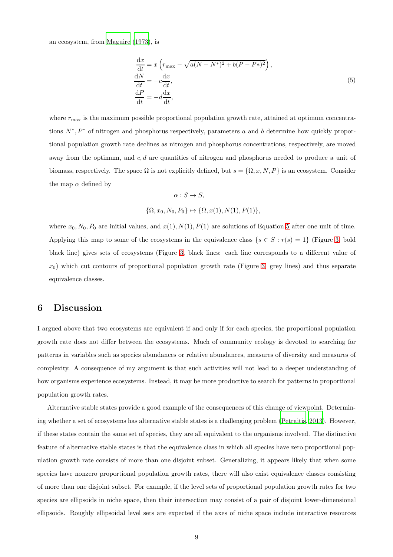an ecosystem, from [Maguire \(1973\)](#page-12-1), is

<span id="page-8-0"></span>
$$
\begin{aligned}\n\frac{\mathrm{d}x}{\mathrm{d}t} &= x \left( r_{\text{max}} - \sqrt{a(N - N^*)^2 + b(P - P^*)^2} \right), \\
\frac{\mathrm{d}N}{\mathrm{d}t} &= -c \frac{\mathrm{d}x}{\mathrm{d}t}, \\
\frac{\mathrm{d}P}{\mathrm{d}t} &= -d \frac{\mathrm{d}x}{\mathrm{d}t},\n\end{aligned} \tag{5}
$$

where  $r_{\text{max}}$  is the maximum possible proportional population growth rate, attained at optimum concentrations  $N^*, P^*$  of nitrogen and phosphorus respectively, parameters a and b determine how quickly proportional population growth rate declines as nitrogen and phosphorus concentrations, respectively, are moved away from the optimum, and  $c, d$  are quantities of nitrogen and phosphorus needed to produce a unit of biomass, respectively. The space  $\Omega$  is not explicitly defined, but  $s = \{\Omega, x, N, P\}$  is an ecosystem. Consider the map  $\alpha$  defined by

$$
\alpha: S \to S,
$$
  

$$
\{\Omega, x_0, N_0, P_0\} \mapsto \{\Omega, x(1), N(1), P(1)\},\
$$

where  $x_0$ ,  $N_0$ ,  $P_0$  are initial values, and  $x(1)$ ,  $N(1)$ ,  $P(1)$  are solutions of Equation [5](#page-8-0) after one unit of time. Applying this map to some of the ecosystems in the equivalence class  $\{s \in S : r(s) = 1\}$  (Figure [3,](#page-16-0) bold black line) gives sets of ecosystems (Figure [3,](#page-16-0) black lines: each line corresponds to a different value of  $x_0$ ) which cut contours of proportional population growth rate (Figure [3,](#page-16-0) grey lines) and thus separate equivalence classes.

### 6 Discussion

I argued above that two ecosystems are equivalent if and only if for each species, the proportional population growth rate does not differ between the ecosystems. Much of community ecology is devoted to searching for patterns in variables such as species abundances or relative abundances, measures of diversity and measures of complexity. A consequence of my argument is that such activities will not lead to a deeper understanding of how organisms experience ecosystems. Instead, it may be more productive to search for patterns in proportional population growth rates.

Alternative stable states provide a good example of the consequences of this change of viewpoint. Determining whether a set of ecosystems has alternative stable states is a challenging problem [\(Petraitis, 2013](#page-12-7)). However, if these states contain the same set of species, they are all equivalent to the organisms involved. The distinctive feature of alternative stable states is that the equivalence class in which all species have zero proportional population growth rate consists of more than one disjoint subset. Generalizing, it appears likely that when some species have nonzero proportional population growth rates, there will also exist equivalence classes consisting of more than one disjoint subset. For example, if the level sets of proportional population growth rates for two species are ellipsoids in niche space, then their intersection may consist of a pair of disjoint lower-dimensional ellipsoids. Roughly ellipsoidal level sets are expected if the axes of niche space include interactive resources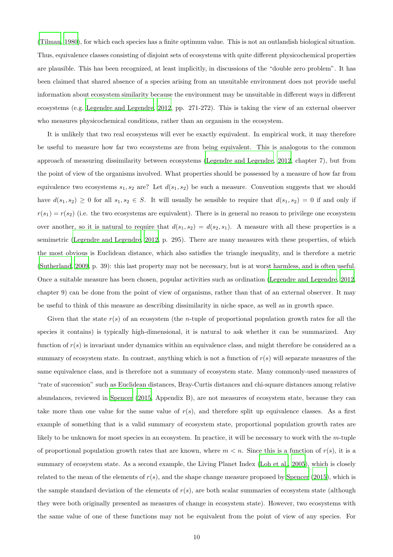[\(Tilman](#page-12-2), [1980\)](#page-12-2), for which each species has a finite optimum value. This is not an outlandish biological situation. Thus, equivalence classes consisting of disjoint sets of ecosystems with quite different physicochemical properties are plausible. This has been recognized, at least implicitly, in discussions of the "double zero problem". It has been claimed that shared absence of a species arising from an unsuitable environment does not provide useful information about ecosystem similarity because the environment may be unsuitable in different ways in different ecosystems (e.g. [Legendre and Legendre](#page-11-1), [2012,](#page-11-1) pp. 271-272). This is taking the view of an external observer who measures physicochemical conditions, rather than an organism in the ecosystem.

It is unlikely that two real ecosystems will ever be exactly equivalent. In empirical work, it may therefore be useful to measure how far two ecosystems are from being equivalent. This is analogous to the common approach of measuring dissimilarity between ecosystems [\(Legendre and Legendre, 2012,](#page-11-1) chapter 7), but from the point of view of the organisms involved. What properties should be possessed by a measure of how far from equivalence two ecosystems  $s_1, s_2$  are? Let  $d(s_1, s_2)$  be such a measure. Convention suggests that we should have  $d(s_1, s_2) \geq 0$  for all  $s_1, s_2 \in S$ . It will usually be sensible to require that  $d(s_1, s_2) = 0$  if and only if  $r(s_1) = r(s_2)$  (i.e. the two ecosystems are equivalent). There is in general no reason to privilege one ecosystem over another, so it is natural to require that  $d(s_1, s_2) = d(s_2, s_1)$ . A measure with all these properties is a semimetric [\(Legendre and Legendre](#page-11-1), [2012,](#page-11-1) p. 295). There are many measures with these properties, of which the most obvious is Euclidean distance, which also satisfies the triangle inequality, and is therefore a metric [\(Sutherland](#page-12-8), [2009,](#page-12-8) p. 39): this last property may not be necessary, but is at worst harmless, and is often useful. Once a suitable measure has been chosen, popular activities such as ordination [\(Legendre and Legendre, 2012,](#page-11-1) chapter 9) can be done from the point of view of organisms, rather than that of an external observer. It may be useful to think of this measure as describing dissimilarity in niche space, as well as in growth space.

Given that the state  $r(s)$  of an ecosystem (the *n*-tuple of proportional population growth rates for all the species it contains) is typically high-dimensional, it is natural to ask whether it can be summarized. Any function of  $r(s)$  is invariant under dynamics within an equivalence class, and might therefore be considered as a summary of ecosystem state. In contrast, anything which is not a function of  $r(s)$  will separate measures of the same equivalence class, and is therefore not a summary of ecosystem state. Many commonly-used measures of "rate of succession" such as Euclidean distances, Bray-Curtis distances and chi-square distances among relative abundances, reviewed in [Spencer \(2015,](#page-12-4) Appendix B), are not measures of ecosystem state, because they can take more than one value for the same value of  $r(s)$ , and therefore split up equivalence classes. As a first example of something that is a valid summary of ecosystem state, proportional population growth rates are likely to be unknown for most species in an ecosystem. In practice, it will be necessary to work with the m-tuple of proportional population growth rates that are known, where  $m < n$ . Since this is a function of  $r(s)$ , it is a summary of ecosystem state. As a second example, the Living Planet Index [\(Loh et al., 2005\)](#page-12-9), which is closely related to the mean of the elements of  $r(s)$ , and the shape change measure proposed by [Spencer \(2015\)](#page-12-4), which is the sample standard deviation of the elements of  $r(s)$ , are both scalar summaries of ecosystem state (although they were both originally presented as measures of change in ecosystem state). However, two ecosystems with the same value of one of these functions may not be equivalent from the point of view of any species. For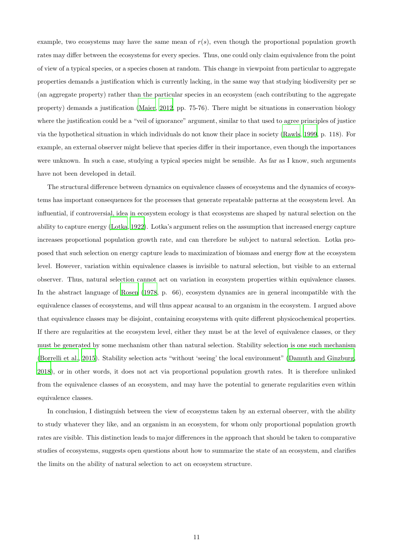example, two ecosystems may have the same mean of  $r(s)$ , even though the proportional population growth rates may differ between the ecosystems for every species. Thus, one could only claim equivalence from the point of view of a typical species, or a species chosen at random. This change in viewpoint from particular to aggregate properties demands a justification which is currently lacking, in the same way that studying biodiversity per se (an aggregate property) rather than the particular species in an ecosystem (each contributing to the aggregate property) demands a justification [\(Maier](#page-12-10), [2012,](#page-12-10) pp. 75-76). There might be situations in conservation biology where the justification could be a "veil of ignorance" argument, similar to that used to agree principles of justice via the hypothetical situation in which individuals do not know their place in society [\(Rawls](#page-12-11), [1999,](#page-12-11) p. 118). For example, an external observer might believe that species differ in their importance, even though the importances were unknown. In such a case, studying a typical species might be sensible. As far as I know, such arguments have not been developed in detail.

The structural difference between dynamics on equivalence classes of ecosystems and the dynamics of ecosystems has important consequences for the processes that generate repeatable patterns at the ecosystem level. An influential, if controversial, idea in ecosystem ecology is that ecosystems are shaped by natural selection on the ability to capture energy [\(Lotka, 1922\)](#page-12-12). Lotka's argument relies on the assumption that increased energy capture increases proportional population growth rate, and can therefore be subject to natural selection. Lotka proposed that such selection on energy capture leads to maximization of biomass and energy flow at the ecosystem level. However, variation within equivalence classes is invisible to natural selection, but visible to an external observer. Thus, natural selection cannot act on variation in ecosystem properties within equivalence classes. In the abstract language of [Rosen \(1978,](#page-12-3) p. 66), ecosystem dynamics are in general incompatible with the equivalence classes of ecosystems, and will thus appear acausal to an organism in the ecosystem. I argued above that equivalence classes may be disjoint, containing ecosystems with quite different physicochemical properties. If there are regularities at the ecosystem level, either they must be at the level of equivalence classes, or they must be generated by some mechanism other than natural selection. Stability selection is one such mechanism [\(Borrelli et al., 2015](#page-11-6)). Stability selection acts "without 'seeing' the local environment" [\(Damuth and Ginzburg,](#page-11-13) [2018\)](#page-11-13), or in other words, it does not act via proportional population growth rates. It is therefore unlinked from the equivalence classes of an ecosystem, and may have the potential to generate regularities even within equivalence classes.

In conclusion, I distinguish between the view of ecosystems taken by an external observer, with the ability to study whatever they like, and an organism in an ecosystem, for whom only proportional population growth rates are visible. This distinction leads to major differences in the approach that should be taken to comparative studies of ecosystems, suggests open questions about how to summarize the state of an ecosystem, and clarifies the limits on the ability of natural selection to act on ecosystem structure.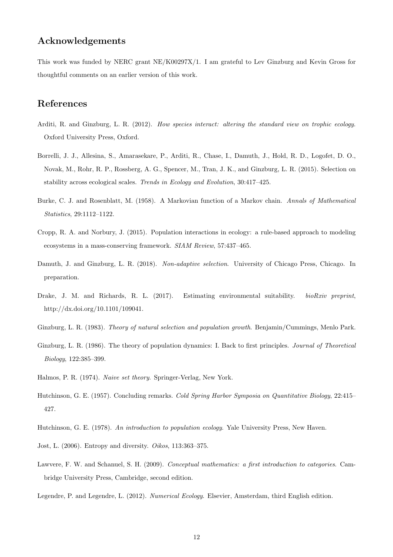## Acknowledgements

This work was funded by NERC grant NE/K00297X/1. I am grateful to Lev Ginzburg and Kevin Gross for thoughtful comments on an earlier version of this work.

## References

- <span id="page-11-12"></span>Arditi, R. and Ginzburg, L. R. (2012). *How species interact: altering the standard view on trophic ecology*. Oxford University Press, Oxford.
- <span id="page-11-6"></span>Borrelli, J. J., Allesina, S., Amarasekare, P., Arditi, R., Chase, I., Damuth, J., Hold, R. D., Logofet, D. O., Novak, M., Rohr, R. P., Rossberg, A. G., Spencer, M., Tran, J. K., and Ginzburg, L. R. (2015). Selection on stability across ecological scales. *Trends in Ecology and Evolution*, 30:417–425.
- <span id="page-11-11"></span>Burke, C. J. and Rosenblatt, M. (1958). A Markovian function of a Markov chain. *Annals of Mathematical Statistics*, 29:1112–1122.
- <span id="page-11-10"></span>Cropp, R. A. and Norbury, J. (2015). Population interactions in ecology: a rule-based approach to modeling ecosystems in a mass-conserving framework. *SIAM Review*, 57:437–465.
- <span id="page-11-13"></span>Damuth, J. and Ginzburg, L. R. (2018). *Non-adaptive selection*. University of Chicago Press, Chicago. In preparation.
- <span id="page-11-8"></span>Drake, J. M. and Richards, R. L. (2017). Estimating environmental suitability. *bioRxiv preprint*, http://dx.doi.org/10.1101/109041.
- <span id="page-11-0"></span>Ginzburg, L. R. (1983). *Theory of natural selection and population growth*. Benjamin/Cummings, Menlo Park.
- <span id="page-11-5"></span>Ginzburg, L. R. (1986). The theory of population dynamics: I. Back to first principles. *Journal of Theoretical Biology*, 122:385–399.
- <span id="page-11-9"></span>Halmos, P. R. (1974). *Naive set theory*. Springer-Verlag, New York.
- <span id="page-11-3"></span>Hutchinson, G. E. (1957). Concluding remarks. *Cold Spring Harbor Symposia on Quantitative Biology*, 22:415– 427.
- <span id="page-11-4"></span>Hutchinson, G. E. (1978). *An introduction to population ecology*. Yale University Press, New Haven.
- <span id="page-11-2"></span>Jost, L. (2006). Entropy and diversity. *Oikos*, 113:363–375.
- <span id="page-11-7"></span>Lawvere, F. W. and Schanuel, S. H. (2009). *Conceptual mathematics: a first introduction to categories*. Cambridge University Press, Cambridge, second edition.
- <span id="page-11-1"></span>Legendre, P. and Legendre, L. (2012). *Numerical Ecology*. Elsevier, Amsterdam, third English edition.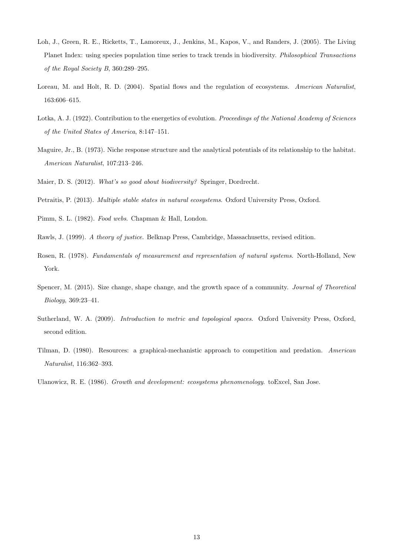- <span id="page-12-9"></span>Loh, J., Green, R. E., Ricketts, T., Lamoreux, J., Jenkins, M., Kapos, V., and Randers, J. (2005). The Living Planet Index: using species population time series to track trends in biodiversity. *Philosophical Transactions of the Royal Society B*, 360:289–295.
- <span id="page-12-5"></span>Loreau, M. and Holt, R. D. (2004). Spatial flows and the regulation of ecosystems. *American Naturalist*, 163:606–615.
- <span id="page-12-12"></span>Lotka, A. J. (1922). Contribution to the energetics of evolution. *Proceedings of the National Academy of Sciences of the United States of America*, 8:147–151.
- <span id="page-12-1"></span>Maguire, Jr., B. (1973). Niche response structure and the analytical potentials of its relationship to the habitat. *American Naturalist*, 107:213–246.
- <span id="page-12-10"></span>Maier, D. S. (2012). *What's so good about biodiversity?* Springer, Dordrecht.
- <span id="page-12-7"></span>Petraitis, P. (2013). *Multiple stable states in natural ecosystems*. Oxford University Press, Oxford.
- <span id="page-12-6"></span>Pimm, S. L. (1982). *Food webs*. Chapman & Hall, London.
- <span id="page-12-11"></span>Rawls, J. (1999). *A theory of justice*. Belknap Press, Cambridge, Massachusetts, revised edition.
- <span id="page-12-3"></span>Rosen, R. (1978). *Fundamentals of measurement and representation of natural systems*. North-Holland, New York.
- <span id="page-12-4"></span>Spencer, M. (2015). Size change, shape change, and the growth space of a community. *Journal of Theoretical Biology*, 369:23–41.
- <span id="page-12-8"></span>Sutherland, W. A. (2009). *Introduction to metric and topological spaces*. Oxford University Press, Oxford, second edition.
- <span id="page-12-2"></span>Tilman, D. (1980). Resources: a graphical-mechanistic approach to competition and predation. *American Naturalist*, 116:362–393.
- <span id="page-12-0"></span>Ulanowicz, R. E. (1986). *Growth and development: ecosystems phenomenology*. toExcel, San Jose.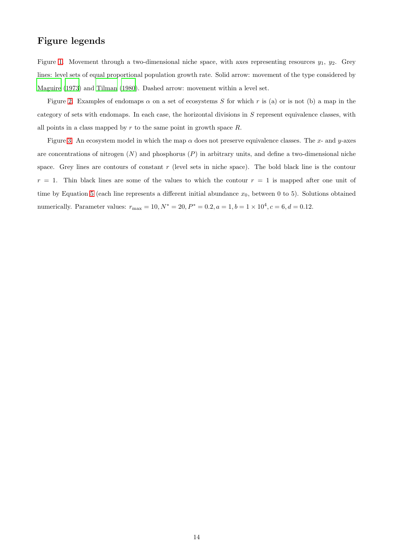## Figure legends

Figure [1.](#page-14-0) Movement through a two-dimensional niche space, with axes representing resources  $y_1$ ,  $y_2$ . Grey lines: level sets of equal proportional population growth rate. Solid arrow: movement of the type considered by [Maguire \(1973\)](#page-12-1) and [Tilman \(1980\)](#page-12-2). Dashed arrow: movement within a level set.

Figure [2.](#page-15-0) Examples of endomaps  $\alpha$  on a set of ecosystems S for which r is (a) or is not (b) a map in the category of sets with endomaps. In each case, the horizontal divisions in S represent equivalence classes, with all points in a class mapped by  $r$  to the same point in growth space  $R$ .

Figure [3.](#page-16-0) An ecosystem model in which the map  $\alpha$  does not preserve equivalence classes. The x- and y-axes are concentrations of nitrogen  $(N)$  and phosphorus  $(P)$  in arbitrary units, and define a two-dimensional niche space. Grey lines are contours of constant  $r$  (level sets in niche space). The bold black line is the contour  $r = 1$ . Thin black lines are some of the values to which the contour  $r = 1$  is mapped after one unit of time by Equation [5](#page-8-0) (each line represents a different initial abundance  $x_0$ , between 0 to 5). Solutions obtained numerically. Parameter values:  $r_{\text{max}} = 10, N^* = 20, P^* = 0.2, a = 1, b = 1 \times 10^4, c = 6, d = 0.12$ .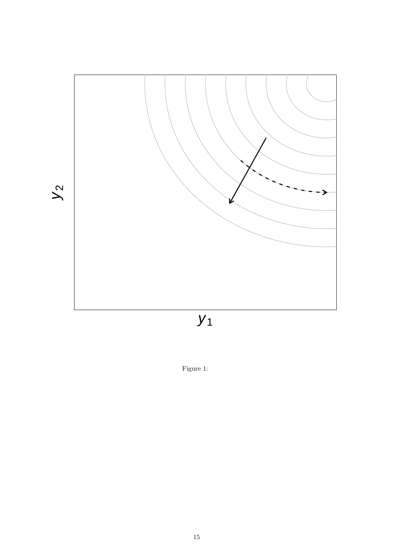

<span id="page-14-0"></span>Figure 1: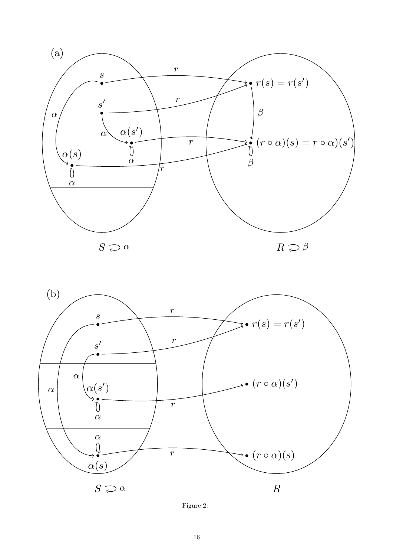



<span id="page-15-0"></span>Figure 2: